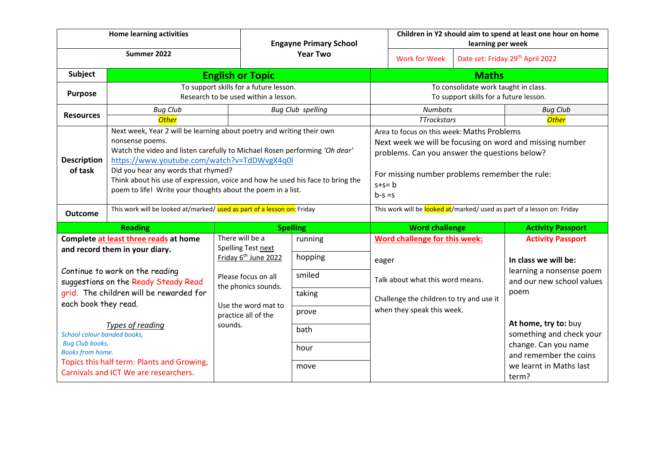| <b>Home learning activities</b>                                                                                                                                                                                       |                                                                                                                                                                                                                                                                                                                                                                                                               |                                                                                                                                                                       | <b>Engayne Primary School</b><br><b>Year Two</b> |                                                                                                                                                                                                                                       | Children in Y2 should aim to spend at least one hour on home<br>learning per week                                                                    |  |                                                                                                                                        |
|-----------------------------------------------------------------------------------------------------------------------------------------------------------------------------------------------------------------------|---------------------------------------------------------------------------------------------------------------------------------------------------------------------------------------------------------------------------------------------------------------------------------------------------------------------------------------------------------------------------------------------------------------|-----------------------------------------------------------------------------------------------------------------------------------------------------------------------|--------------------------------------------------|---------------------------------------------------------------------------------------------------------------------------------------------------------------------------------------------------------------------------------------|------------------------------------------------------------------------------------------------------------------------------------------------------|--|----------------------------------------------------------------------------------------------------------------------------------------|
| Summer 2022                                                                                                                                                                                                           |                                                                                                                                                                                                                                                                                                                                                                                                               |                                                                                                                                                                       |                                                  |                                                                                                                                                                                                                                       | <b>Work for Week</b>                                                                                                                                 |  | Date set: Friday 29th April 2022                                                                                                       |
| Subject                                                                                                                                                                                                               | <b>English or Topic</b>                                                                                                                                                                                                                                                                                                                                                                                       |                                                                                                                                                                       |                                                  |                                                                                                                                                                                                                                       | <b>Maths</b>                                                                                                                                         |  |                                                                                                                                        |
| <b>Purpose</b>                                                                                                                                                                                                        | To support skills for a future lesson.<br>Research to be used within a lesson.                                                                                                                                                                                                                                                                                                                                |                                                                                                                                                                       |                                                  | To consolidate work taught in class.<br>To support skills for a future lesson.                                                                                                                                                        |                                                                                                                                                      |  |                                                                                                                                        |
| <b>Resources</b>                                                                                                                                                                                                      | <b>Bug Club</b><br><b>Other</b>                                                                                                                                                                                                                                                                                                                                                                               |                                                                                                                                                                       | <b>Bug Club spelling</b>                         |                                                                                                                                                                                                                                       | <b>Numbots</b><br><b>TTrockstars</b>                                                                                                                 |  | <b>Bug Club</b><br><b>Other</b>                                                                                                        |
| <b>Description</b><br>of task                                                                                                                                                                                         | Next week, Year 2 will be learning about poetry and writing their own<br>nonsense poems.<br>Watch the video and listen carefully to Michael Rosen performing 'Oh dear'<br>https://www.youtube.com/watch?v=TdDWvgX4q0I<br>Did you hear any words that rhymed?<br>Think about his use of expression, voice and how he used his face to bring the<br>poem to life! Write your thoughts about the poem in a list. |                                                                                                                                                                       |                                                  | Area to focus on this week: Maths Problems<br>Next week we will be focusing on word and missing number<br>problems. Can you answer the questions below?<br>For missing number problems remember the rule:<br>$s + s = b$<br>$b-s = s$ |                                                                                                                                                      |  |                                                                                                                                        |
| Outcome                                                                                                                                                                                                               | This work will be looked at/marked/ used as part of a lesson on: Friday                                                                                                                                                                                                                                                                                                                                       |                                                                                                                                                                       |                                                  | This work will be looked at/marked/ used as part of a lesson on: Friday                                                                                                                                                               |                                                                                                                                                      |  |                                                                                                                                        |
| <b>Reading</b>                                                                                                                                                                                                        |                                                                                                                                                                                                                                                                                                                                                                                                               | <b>Spelling</b>                                                                                                                                                       |                                                  |                                                                                                                                                                                                                                       | <b>Word challenge</b>                                                                                                                                |  | <b>Activity Passport</b>                                                                                                               |
| Complete at least three reads at home<br>and record them in your diary.<br>Continue to work on the reading<br>suggestions on the Ready Steady Read<br>grid. The children will be rewarded for<br>each book they read. |                                                                                                                                                                                                                                                                                                                                                                                                               | There will be a<br>Spelling Test next<br>Friday 6 <sup>th</sup> June 2022<br>Please focus on all<br>the phonics sounds.<br>Use the word mat to<br>practice all of the | running<br>hopping<br>smiled<br>taking<br>prove  |                                                                                                                                                                                                                                       | Word challenge for this week:<br>eager<br>Talk about what this word means.<br>Challenge the children to try and use it<br>when they speak this week. |  | <b>Activity Passport</b><br>In class we will be:<br>learning a nonsense poem<br>and our new school values<br>poem                      |
| Types of reading<br>School colour banded books,<br><b>Bug Club books,</b><br><b>Books from home.</b><br>Topics this half term: Plants and Growing,<br>Carnivals and ICT We are researchers.                           |                                                                                                                                                                                                                                                                                                                                                                                                               | sounds.                                                                                                                                                               | bath<br>hour<br>move                             |                                                                                                                                                                                                                                       |                                                                                                                                                      |  | At home, try to: buy<br>something and check your<br>change. Can you name<br>and remember the coins<br>we learnt in Maths last<br>term? |